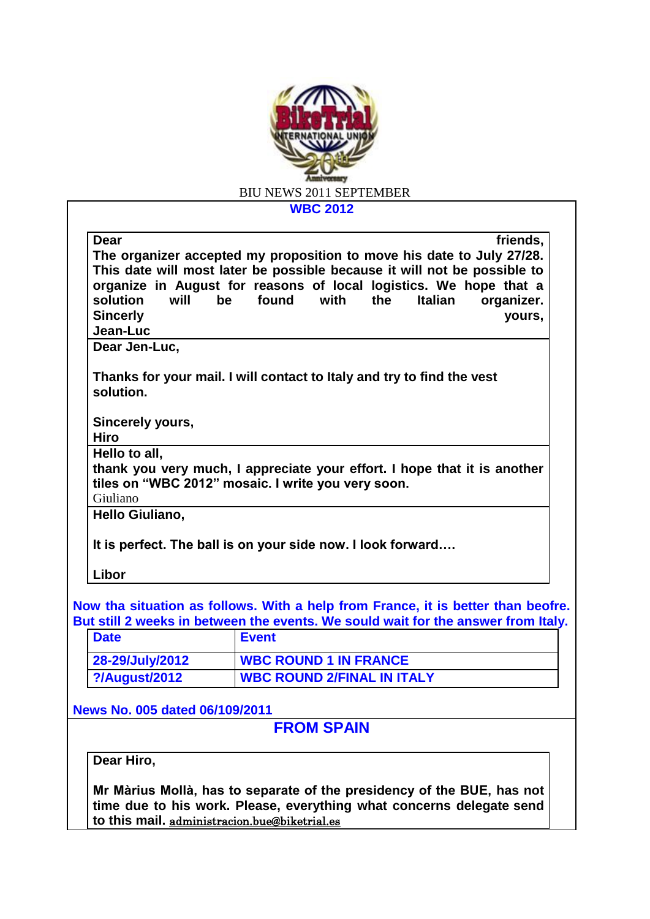

**WBC 2012**

| Dear                                            | friends,                                                                                                                                                                                                               |
|-------------------------------------------------|------------------------------------------------------------------------------------------------------------------------------------------------------------------------------------------------------------------------|
|                                                 | The organizer accepted my proposition to move his date to July 27/28.<br>This date will most later be possible because it will not be possible to<br>organize in August for reasons of local logistics. We hope that a |
| will<br>solution<br><b>Sincerly</b><br>Jean-Luc | found<br>with<br>the<br><b>Italian</b><br>be<br>organizer.<br>yours,                                                                                                                                                   |
| Dear Jen-Luc,                                   |                                                                                                                                                                                                                        |
| solution.                                       | Thanks for your mail. I will contact to Italy and try to find the vest                                                                                                                                                 |
| Sincerely yours,<br><b>Hiro</b>                 |                                                                                                                                                                                                                        |
| Hello to all,                                   |                                                                                                                                                                                                                        |
|                                                 | thank you very much, I appreciate your effort. I hope that it is another<br>tiles on "WBC 2012" mosaic. I write you very soon.                                                                                         |
| Giuliano                                        |                                                                                                                                                                                                                        |
| Hello Giuliano,                                 |                                                                                                                                                                                                                        |
|                                                 | It is perfect. The ball is on your side now. I look forward                                                                                                                                                            |
| Libor                                           |                                                                                                                                                                                                                        |
|                                                 | Now tha situation as follows. With a help from France, it is better than beofre.<br>But still 2 weeks in between the events. We sould wait for the answer from Italy.                                                  |
| <b>Date</b>                                     | <b>Event</b>                                                                                                                                                                                                           |
| 28-29/July/2012                                 | <b>WBC ROUND 1 IN FRANCE</b>                                                                                                                                                                                           |
| ?/August/2012                                   | <b>WBC ROUND 2/FINAL IN ITALY</b>                                                                                                                                                                                      |

**News No. 005 dated 06/109/2011**

**FROM SPAIN**

**Dear Hiro,**

**Mr Màrius Mollà, has to separate of the presidency of the BUE, has not time due to his work. Please, everything what concerns delegate send to this mail.** [administracion.bue@biketrial.es](mailto:administracion.bue@biketrial.es)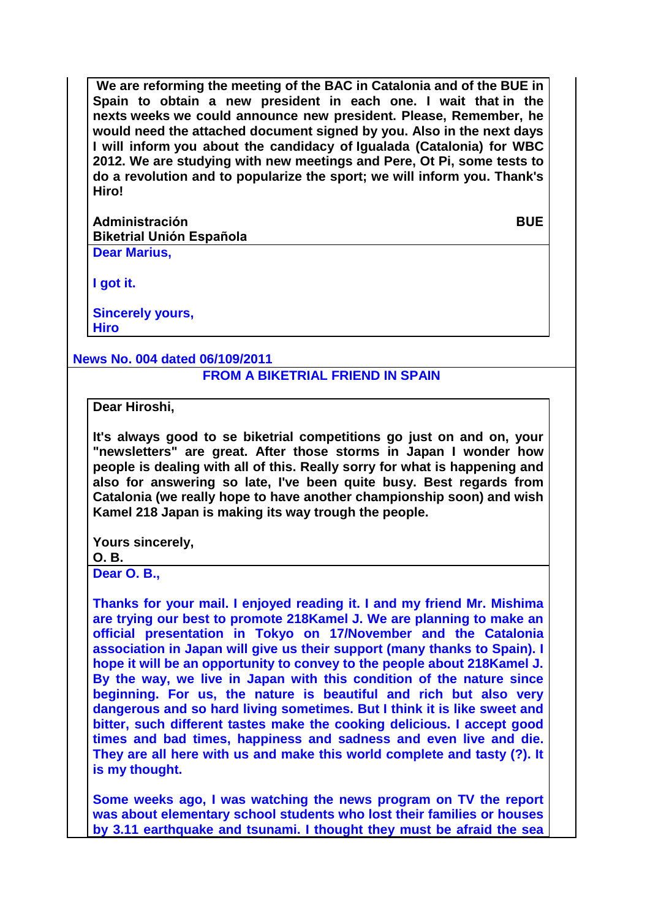**We are reforming the meeting of the BAC in Catalonia and of the BUE in Spain to obtain a new president in each one. I wait that in the nexts weeks we could announce new president. Please, Remember, he would need the attached document signed by you. Also in the next days I will inform you about the candidacy of Igualada (Catalonia) for WBC 2012. We are studying with new meetings and Pere, Ot Pi, some tests to do a revolution and to popularize the sport; we will inform you. Thank's Hiro!** 

**Administración BUE Biketrial Unión Española Dear Marius,**

**I got it.**

**Sincerely yours, Hiro**

**News No. 004 dated 06/109/2011**

## **FROM A BIKETRIAL FRIEND IN SPAIN**

**Dear Hiroshi,** 

**It's always good to se biketrial competitions go just on and on, your "newsletters" are great. After those storms in Japan I wonder how people is dealing with all of this. Really sorry for what is happening and also for answering so late, I've been quite busy. Best regards from Catalonia (we really hope to have another championship soon) and wish Kamel 218 Japan is making its way trough the people.**

**Yours sincerely,**

## **O. B.**

**Dear O. B.,**

**Thanks for your mail. I enjoyed reading it. I and my friend Mr. Mishima are trying our best to promote 218Kamel J. We are planning to make an official presentation in Tokyo on 17/November and the Catalonia association in Japan will give us their support (many thanks to Spain). I hope it will be an opportunity to convey to the people about 218Kamel J. By the way, we live in Japan with this condition of the nature since beginning. For us, the nature is beautiful and rich but also very dangerous and so hard living sometimes. But I think it is like sweet and bitter, such different tastes make the cooking delicious. I accept good times and bad times, happiness and sadness and even live and die. They are all here with us and make this world complete and tasty (?). It is my thought.**

**Some weeks ago, I was watching the news program on TV the report was about elementary school students who lost their families or houses by 3.11 earthquake and tsunami. I thought they must be afraid the sea**